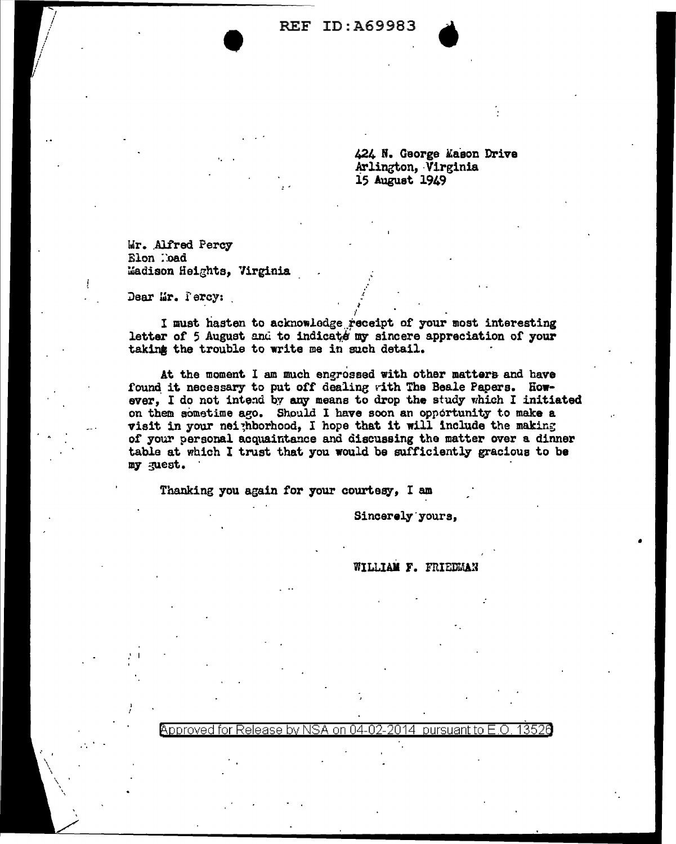REF ID:A69983



424 N. George &aeon Drive Arlington, Virginia 15 August 1949

**Mr. Alfred Percy** Elon ::oad Wadison Heights, Virginia

•

Dear Mr. Percy:

 $\blacksquare$ 

**I** must hasten to acknowledge receipt of your most interesting letter of 5 August and to indicate my sincere appreciation of your taking the trouble to write me in such detail.

~

At the moment I am much engrossed with other matters and have found it necessary to put off dealing with The Beale Papers. However, I do not intend by any means to drop the study which I initiated on them sometime ago. Should I have soon an opportunity to make a visit in your nei;hborhood, I hope that it will include the making of your personal acquaintance and discussing the matter over a dinner table at which I trust that you would be sufficiently gracious to be my guest. ·

Thanking you again for your courtesy, I am

Sincerely yours,

WILLIAM F. FRIEDMAN

•

Abproved for Release by NSA on 04-02-2014 pursuant to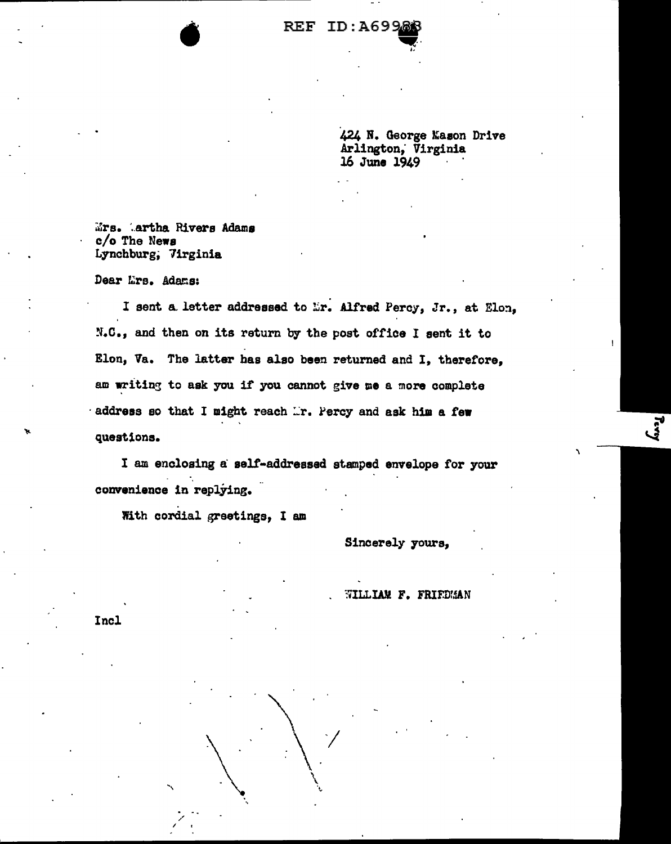## REF ID:A6996

424 N. George Mason Drive Arlington; Virginia 16 June 1949

 $\mathbf{v}$ 

 $~Mrs.$  Artha Rivers Adams c/o The Newa Lynchburg; 7irginia

•

Dear Lirs. Adams:

I sent a letter addressed to Er. Alfred Percy, Jr., at Elon, N.C., and then on its return by the post office I sent it to Elon, Va. The latter has also been returned and I, therefore, am writing to ask you if you cannot give me a more complete  $\cdot$  address so that I might reach  $\mathbb{L}$ r. Percy and ask him a few questions.

I am enclosing a salt-addressed stamped envelope for your convenience in replying.

 $\bigwedge$  7

\  $\mathcal{L}$  .

With cordial greetings, I am

\'

- '-

/  $\prime$   $\rightarrow$  Sincerely yours,

WILLIAM F. FRIEDMAN

\

**Reey** 

Incl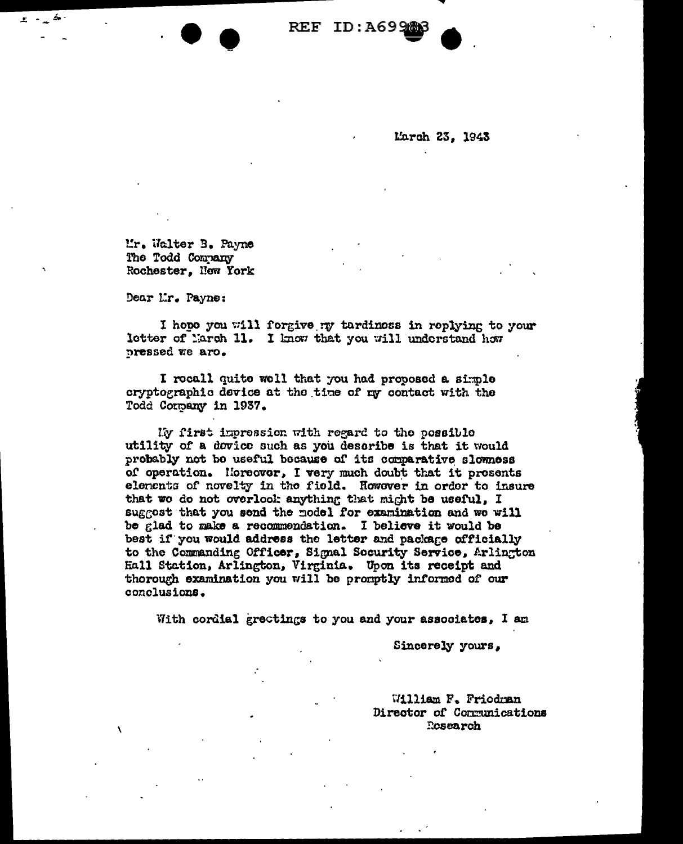REF ID: A699

March 23. 1943

Mr. Walter B. Payne The Todd Company Rochester. Now York

Dear Lr. Payne:

I hope you will forgive my tardiness in replying to your letter of March 11. I know that you will understand how pressed we aro.

I rocall quite well that you had proposed a simple cryptographic device at the time of my contact with the Todd Company in 1937.

My first impression with regard to the possible utility of a dovice such as you describe is that it would probably not be useful because of its comparative slowness of operation. Horeover, I very much doubt that it presents elenents of novelty in the field. However in order to insure that we do not overlook anything that might be useful, I suggest that you send the model for examination and we will be glad to make a recommendation. I believe it would be best if you would address the letter and package officially to the Commanding Officer, Signal Socurity Service, Arlington Hall Station, Arlington, Virginia. Upon its receipt and thorough examination you will be promptly informed of our conclusions.

With cordial grectings to you and your associates, I am

Sincerely yours,

William F. Friedman Director of Communications Rosearch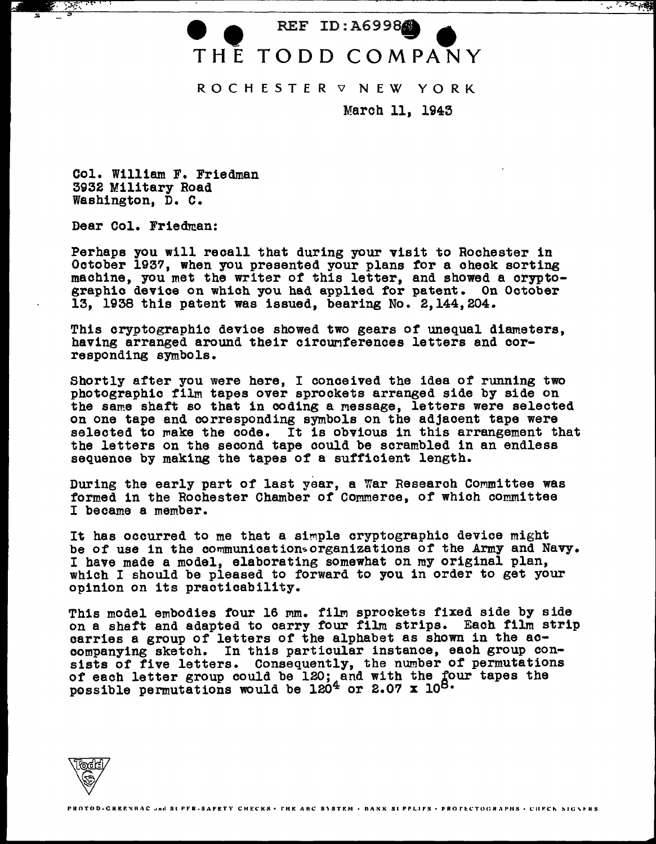## REF ID: A6998 THE TODD COMPANY

ROCHESTER **V** NEW YORK

March 11, 1943

Col. William F. Friedman 3932 Military Road Washington, D. c.

Dear Col. Friedman:

Perhaps you will recall that during your visit to Rochester in October 1937, when you presented your plans for a check sorting machine, you met the writer of this letter, and showed a crypto-<br>graphic device on which you had applied for patent. On October 13, 1938 this patent was issued, bearing No. 2,144,204.

This cryptographic device showed two gears of unequal diameters, having arranged around their circunferences letters and corresponding symbols.

Shortly after you were here, I conceived the idea of running two photographic film tapes over sprockets arranged side by side on the same shaft so that in coding a message, letters were selected on one tape and corresponding symbols on the adjacent tape were selected to  $_{\text{make the code.}}$  It is obvious in this arrangement that the letters on the second tape could be scrambled in an endless sequence by making the tapes of a sufficient length.

During the early part of last year, a War Research Committee was formed in the Rochester Chamber of Commerce, of which committee I became a member.

It has occurred to me that a simple cryptographic device might be of use in the communications organizations of the Army and Navy. I have made a model, elaborating somewhat on my original plan, which I should be pleased to forward to you in order to get your opinion on its practicability.

This model embodies four 16 mm. film sprockets fixed side by side on a shaft and adapted to carry four film strips. Each film strip carries a group of letters of the alphabet as shown in the accompanying sketch. In this particular instance, each group consists of five letters. Consequently, the number of permutations of each letter group could be 120; and with the four tapes the possible permutations would be 120<sup>4</sup> or 2.07 x 10<sup>8.</sup>

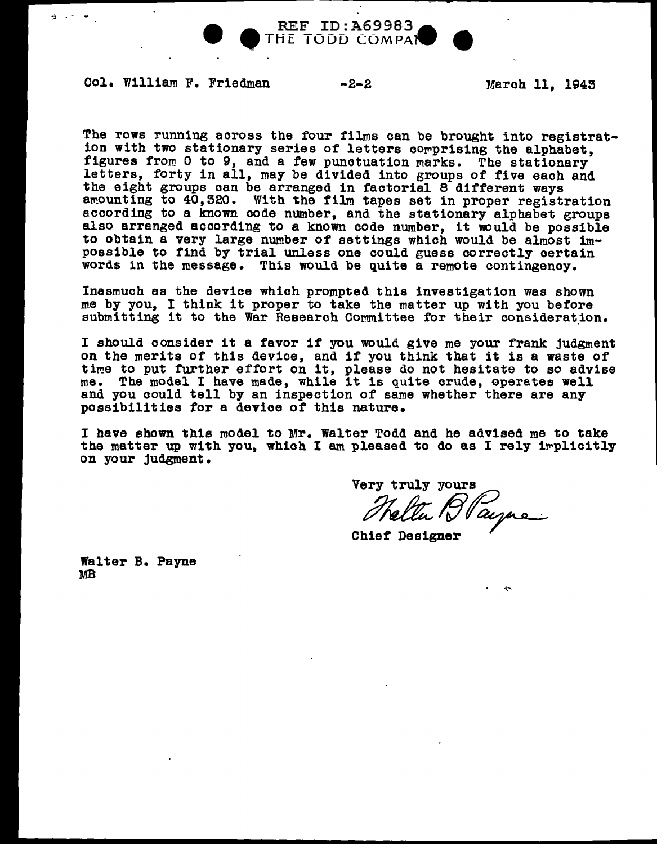

THE TODD COMPAL

Col. William F. Friedman -2-2 March 11, 1943

 $\mathbf{Q} = \mathbf{A} \times \mathbf{A} \times \mathbf{B}$ 

The rows running across the four films can be brought into registrat-<br>ion with two stationary series of letters comprising the alphabet,<br>figures from 0 to 9, and a few punctuation marks. The stationary<br>letters, forty in al amounting to 40,320. With the film tapes set in proper registration<br>according to a known code number, and the stationary alphabet groups<br>also arranged according to a known code number. It would be possible to obtain a very large number of settings which would be almost impossible to find by trial unless one could guess correctly certain words in the message. This would be quite a remote contingency.

Inasmuch as the device which prompted this investigation was shown me by you, I think it proper to take the matter up with you before submitting it to the War Research Committee for their consideration.

<sup>I</sup>should consider it a favor if you would give me your frank judgment on the merits of this device, and if you think that it is a waste of time to put further effort on it, please do not hesitate to so advise me. The model I have made, while it is quite crude, operates well and you could tell by an inspection of same whether there are any possibilities tor a device of this nature.

<sup>I</sup>have shown this model to Mr. Walter Todd and he advised me to take the matter up with you, which I am pleased to do as I rely implicitly on your judgment.

Very truly yours Helter Blayne

Walter B. Payne MB